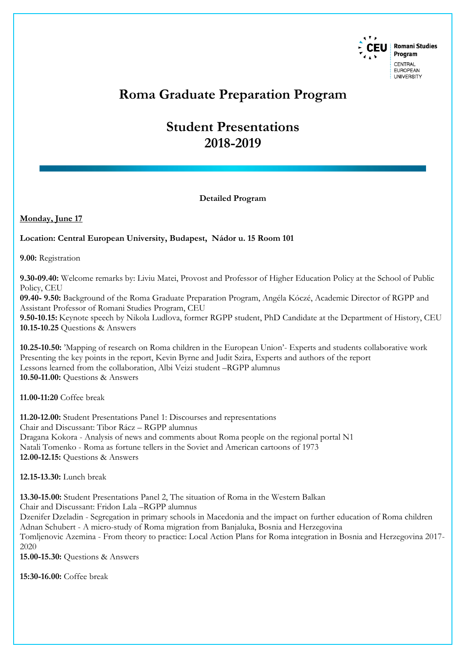

## **Roma Graduate Preparation Program**

# **Student Presentations 2018-2019**

**Detailed Program**

### **Monday, June 17**

#### **Location: Central European University, Budapest, Nádor u. 15 Room 101**

**9.00:** Registration

**9.30-09.40:** Welcome remarks by: Liviu Matei, Provost and Professor of Higher Education Policy at the School of Public Policy, CEU

**09.40- 9.50:** Background of the Roma Graduate Preparation Program, Angéla Kóczé, Academic Director of RGPP and Assistant Professor of Romani Studies Program, CEU

**9.50-10.15:** Keynote speech by Nikola Ludlova, former RGPP student, PhD Candidate at the Department of History, CEU **10.15-10.25** Questions & Answers

**10.25-10.50:** 'Mapping of research on Roma children in the European Union'- Experts and students collaborative work Presenting the key points in the report, Kevin Byrne and Judit Szira, Experts and authors of the report Lessons learned from the collaboration, Albi Veizi student –RGPP alumnus **10.50-11.00:** Questions & Answers

**11.00-11:20** Coffee break

**11.20-12.00:** Student Presentations Panel 1: Discourses and representations Chair and Discussant: Tibor Rácz – RGPP alumnus Dragana Kokora - Analysis of news and comments about Roma people on the regional portal N1 Natali Tomenko - Roma as fortune tellers in the Soviet and American cartoons of 1973 **12.00-12.15:** Questions & Answers

**12.15-13.30:** Lunch break

**13.30-15.00:** Student Presentations Panel 2, The situation of Roma in the Western Balkan

Chair and Discussant: Fridon Lala –RGPP alumnus

Dzenifer Dzeladin - Segregation in primary schools in Macedonia and the impact on further education of Roma children Adnan Schubert - A micro-study of Roma migration from Banjaluka, Bosnia and Herzegovina Tomljenovic Azemina - From theory to practice: Local Action Plans for Roma integration in Bosnia and Herzegovina 2017- 2020

**15.00-15.30:** Questions & Answers

**15:30-16.00:** Coffee break